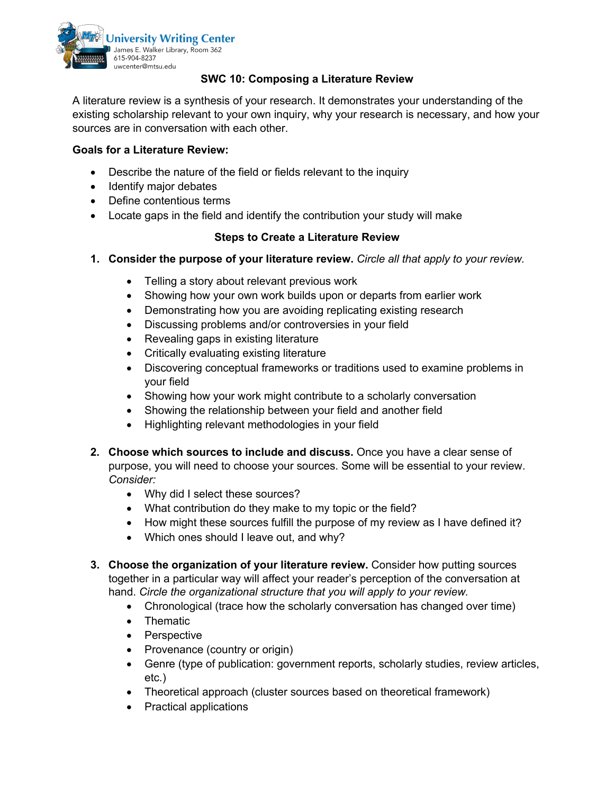

## **SWC 10: Composing a Literature Review**

A literature review is a synthesis of your research. It demonstrates your understanding of the existing scholarship relevant to your own inquiry, why your research is necessary, and how your sources are in conversation with each other.

## **Goals for a Literature Review:**

- Describe the nature of the field or fields relevant to the inquiry
- Identify major debates
- Define contentious terms
- Locate gaps in the field and identify the contribution your study will make

## **Steps to Create a Literature Review**

- **1. Consider the purpose of your literature review.** *Circle all that apply to your review.*
	- Telling a story about relevant previous work
	- Showing how your own work builds upon or departs from earlier work
	- Demonstrating how you are avoiding replicating existing research
	- Discussing problems and/or controversies in your field
	- Revealing gaps in existing literature
	- Critically evaluating existing literature
	- Discovering conceptual frameworks or traditions used to examine problems in your field
	- Showing how your work might contribute to a scholarly conversation
	- Showing the relationship between your field and another field
	- Highlighting relevant methodologies in your field
- **2. Choose which sources to include and discuss.** Once you have a clear sense of purpose, you will need to choose your sources. Some will be essential to your review. *Consider:*
	- Why did I select these sources?
	- What contribution do they make to my topic or the field?
	- How might these sources fulfill the purpose of my review as I have defined it?
	- Which ones should I leave out, and why?
- **3. Choose the organization of your literature review.** Consider how putting sources together in a particular way will affect your reader's perception of the conversation at hand. *Circle the organizational structure that you will apply to your review.*
	- Chronological (trace how the scholarly conversation has changed over time)
	- Thematic
	- Perspective
	- Provenance (country or origin)
	- Genre (type of publication: government reports, scholarly studies, review articles, etc.)
	- Theoretical approach (cluster sources based on theoretical framework)
	- Practical applications